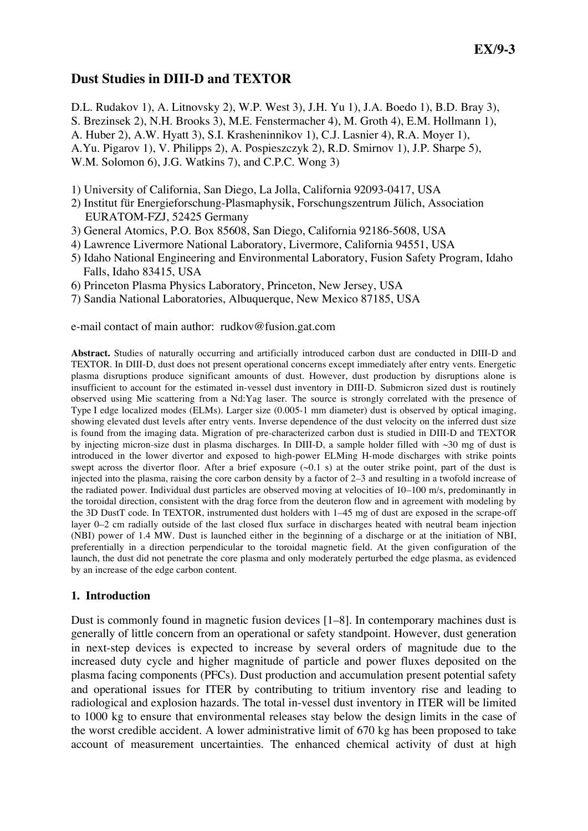# **Dust Studies in DIII-D and TEXTOR**

D.L. Rudakov 1), A. Litnovsky 2), W.P. West 3), J.H. Yu 1), J.A. Boedo 1), B.D. Bray 3), S. Brezinsek 2), N.H. Brooks 3), M.E. Fenstermacher 4), M. Groth 4), E.M. Hollmann 1), A. Huber 2), A.W. Hyatt 3), S.I. Krasheninnikov 1), C.J. Lasnier 4), R.A. Moyer 1), A.Yu. Pigarov 1), V. Philipps 2), A. Pospieszczyk 2), R.D. Smirnov 1), J.P. Sharpe 5), W.M. Solomon 6), J.G. Watkins 7), and C.P.C. Wong 3)

- 1) University of California, San Diego, La Jolla, California 92093-0417, USA
- 2) Institut für Energieforschung-Plasmaphysik, Forschungszentrum Jülich, Association EURATOM-FZJ, 52425 Germany
- 3) General Atomics, P.O. Box 85608, San Diego, California 92186-5608, USA
- 4) Lawrence Livermore National Laboratory, Livermore, California 94551, USA
- 5) Idaho National Engineering and Environmental Laboratory, Fusion Safety Program, Idaho Falls, Idaho 83415, USA
- 6) Princeton Plasma Physics Laboratory, Princeton, New Jersey, USA
- 7) Sandia National Laboratories, Albuquerque, New Mexico 87185, USA

e-mail contact of main author: rudkov@fusion.gat.com

**Abstract.** Studies of naturally occurring and artificially introduced carbon dust are conducted in DIII-D and TEXTOR. In DIII-D, dust does not present operational concerns except immediately after entry vents. Energetic plasma disruptions produce significant amounts of dust. However, dust production by disruptions alone is insufficient to account for the estimated in-vessel dust inventory in DIII-D. Submicron sized dust is routinely observed using Mie scattering from a Nd:Yag laser. The source is strongly correlated with the presence of Type I edge localized modes (ELMs). Larger size (0.005-1 mm diameter) dust is observed by optical imaging, showing elevated dust levels after entry vents. Inverse dependence of the dust velocity on the inferred dust size is found from the imaging data. Migration of pre-characterized carbon dust is studied in DIII-D and TEXTOR by injecting micron-size dust in plasma discharges. In DIII-D, a sample holder filled with ~30 mg of dust is introduced in the lower divertor and exposed to high-power ELMing H-mode discharges with strike points swept across the divertor floor. After a brief exposure  $(\sim 0.1 \text{ s})$  at the outer strike point, part of the dust is injected into the plasma, raising the core carbon density by a factor of 2–3 and resulting in a twofold increase of the radiated power. Individual dust particles are observed moving at velocities of 10–100 m/s, predominantly in the toroidal direction, consistent with the drag force from the deuteron flow and in agreement with modeling by the 3D DustT code. In TEXTOR, instrumented dust holders with 1–45 mg of dust are exposed in the scrape-off layer 0–2 cm radially outside of the last closed flux surface in discharges heated with neutral beam injection (NBI) power of 1.4 MW. Dust is launched either in the beginning of a discharge or at the initiation of NBI, preferentially in a direction perpendicular to the toroidal magnetic field. At the given configuration of the launch, the dust did not penetrate the core plasma and only moderately perturbed the edge plasma, as evidenced by an increase of the edge carbon content.

### **1. Introduction**

Dust is commonly found in magnetic fusion devices [1–8]. In contemporary machines dust is generally of little concern from an operational or safety standpoint. However, dust generation in next-step devices is expected to increase by several orders of magnitude due to the increased duty cycle and higher magnitude of particle and power fluxes deposited on the plasma facing components (PFCs). Dust production and accumulation present potential safety and operational issues for ITER by contributing to tritium inventory rise and leading to radiological and explosion hazards. The total in-vessel dust inventory in ITER will be limited to 1000 kg to ensure that environmental releases stay below the design limits in the case of the worst credible accident. A lower administrative limit of 670 kg has been proposed to take account of measurement uncertainties. The enhanced chemical activity of dust at high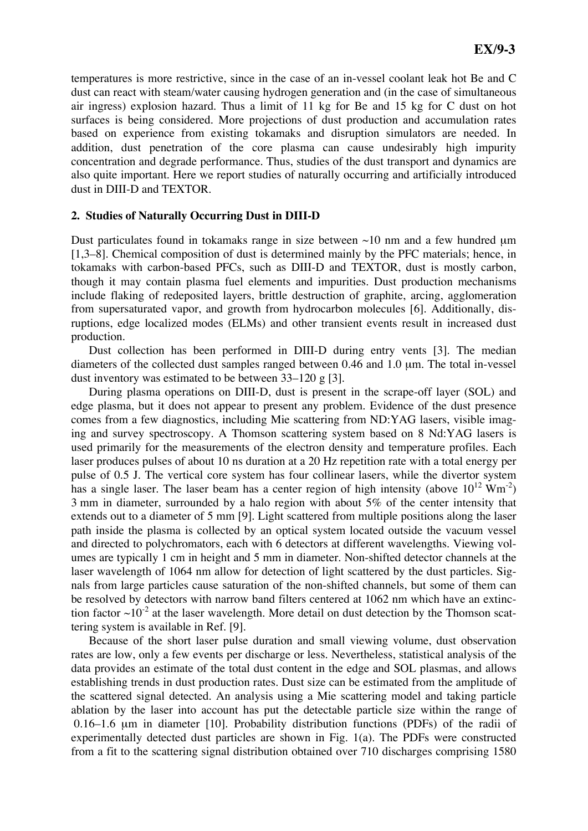temperatures is more restrictive, since in the case of an in-vessel coolant leak hot Be and C dust can react with steam/water causing hydrogen generation and (in the case of simultaneous air ingress) explosion hazard. Thus a limit of 11 kg for Be and 15 kg for C dust on hot surfaces is being considered. More projections of dust production and accumulation rates based on experience from existing tokamaks and disruption simulators are needed. In addition, dust penetration of the core plasma can cause undesirably high impurity concentration and degrade performance. Thus, studies of the dust transport and dynamics are also quite important. Here we report studies of naturally occurring and artificially introduced dust in DIII-D and TEXTOR.

#### **2. Studies of Naturally Occurring Dust in DIII-D**

Dust particulates found in tokamaks range in size between  $\sim$ 10 nm and a few hundred  $\mu$ m [1,3–8]. Chemical composition of dust is determined mainly by the PFC materials; hence, in tokamaks with carbon-based PFCs, such as DIII-D and TEXTOR, dust is mostly carbon, though it may contain plasma fuel elements and impurities. Dust production mechanisms include flaking of redeposited layers, brittle destruction of graphite, arcing, agglomeration from supersaturated vapor, and growth from hydrocarbon molecules [6]. Additionally, disruptions, edge localized modes (ELMs) and other transient events result in increased dust production.

Dust collection has been performed in DIII-D during entry vents [3]. The median diameters of the collected dust samples ranged between 0.46 and 1.0 μm. The total in-vessel dust inventory was estimated to be between 33–120 g [3].

During plasma operations on DIII-D, dust is present in the scrape-off layer (SOL) and edge plasma, but it does not appear to present any problem. Evidence of the dust presence comes from a few diagnostics, including Mie scattering from ND:YAG lasers, visible imaging and survey spectroscopy. A Thomson scattering system based on 8 Nd:YAG lasers is used primarily for the measurements of the electron density and temperature profiles. Each laser produces pulses of about 10 ns duration at a 20 Hz repetition rate with a total energy per pulse of 0.5 J. The vertical core system has four collinear lasers, while the divertor system has a single laser. The laser beam has a center region of high intensity (above  $10^{12}$  Wm<sup>-2</sup>) 3 mm in diameter, surrounded by a halo region with about 5% of the center intensity that extends out to a diameter of 5 mm [9]. Light scattered from multiple positions along the laser path inside the plasma is collected by an optical system located outside the vacuum vessel and directed to polychromators, each with 6 detectors at different wavelengths. Viewing volumes are typically 1 cm in height and 5 mm in diameter. Non-shifted detector channels at the laser wavelength of 1064 nm allow for detection of light scattered by the dust particles. Signals from large particles cause saturation of the non-shifted channels, but some of them can be resolved by detectors with narrow band filters centered at 1062 nm which have an extinction factor  $\sim 10^{-2}$  at the laser wavelength. More detail on dust detection by the Thomson scattering system is available in Ref. [9].

Because of the short laser pulse duration and small viewing volume, dust observation rates are low, only a few events per discharge or less. Nevertheless, statistical analysis of the data provides an estimate of the total dust content in the edge and SOL plasmas, and allows establishing trends in dust production rates. Dust size can be estimated from the amplitude of the scattered signal detected. An analysis using a Mie scattering model and taking particle ablation by the laser into account has put the detectable particle size within the range of 0.16–1.6 μm in diameter [10]. Probability distribution functions (PDFs) of the radii of experimentally detected dust particles are shown in Fig. 1(a). The PDFs were constructed from a fit to the scattering signal distribution obtained over 710 discharges comprising 1580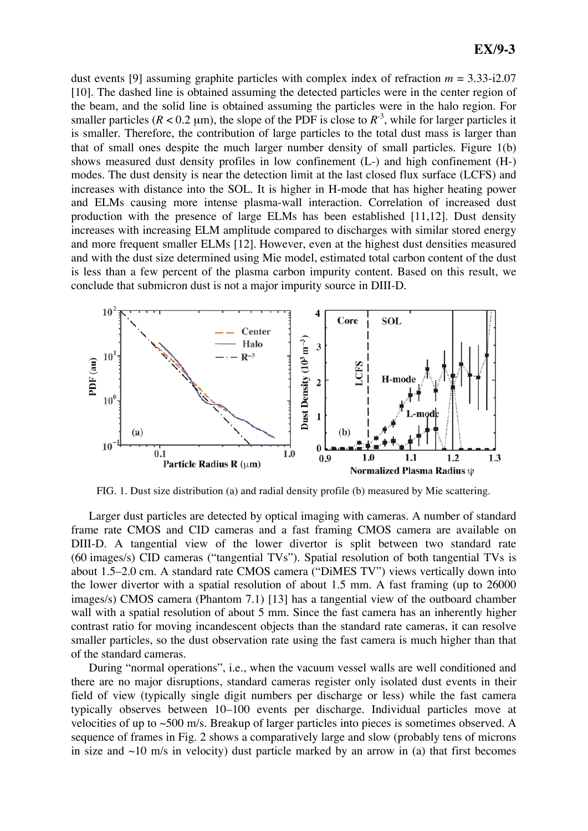dust events [9] assuming graphite particles with complex index of refraction *m* = 3.33-i2.07 [10]. The dashed line is obtained assuming the detected particles were in the center region of the beam, and the solid line is obtained assuming the particles were in the halo region. For smaller particles  $(R < 0.2 \mu m)$ , the slope of the PDF is close to  $R^{-3}$ , while for larger particles it is smaller. Therefore, the contribution of large particles to the total dust mass is larger than that of small ones despite the much larger number density of small particles. Figure 1(b) shows measured dust density profiles in low confinement (L-) and high confinement (H-) modes. The dust density is near the detection limit at the last closed flux surface (LCFS) and increases with distance into the SOL. It is higher in H-mode that has higher heating power and ELMs causing more intense plasma-wall interaction. Correlation of increased dust production with the presence of large ELMs has been established [11,12]. Dust density increases with increasing ELM amplitude compared to discharges with similar stored energy and more frequent smaller ELMs [12]. However, even at the highest dust densities measured and with the dust size determined using Mie model, estimated total carbon content of the dust is less than a few percent of the plasma carbon impurity content. Based on this result, we conclude that submicron dust is not a major impurity source in DIII-D.



FIG. 1. Dust size distribution (a) and radial density profile (b) measured by Mie scattering.

Larger dust particles are detected by optical imaging with cameras. A number of standard frame rate CMOS and CID cameras and a fast framing CMOS camera are available on DIII-D. A tangential view of the lower divertor is split between two standard rate (60 images/s) CID cameras ("tangential TVs"). Spatial resolution of both tangential TVs is about 1.5–2.0 cm. A standard rate CMOS camera ("DiMES TV") views vertically down into the lower divertor with a spatial resolution of about 1.5 mm. A fast framing (up to 26000 images/s) CMOS camera (Phantom 7.1) [13] has a tangential view of the outboard chamber wall with a spatial resolution of about 5 mm. Since the fast camera has an inherently higher contrast ratio for moving incandescent objects than the standard rate cameras, it can resolve smaller particles, so the dust observation rate using the fast camera is much higher than that of the standard cameras.

During "normal operations", i.e., when the vacuum vessel walls are well conditioned and there are no major disruptions, standard cameras register only isolated dust events in their field of view (typically single digit numbers per discharge or less) while the fast camera typically observes between 10–100 events per discharge. Individual particles move at velocities of up to ~500 m/s. Breakup of larger particles into pieces is sometimes observed. A sequence of frames in Fig. 2 shows a comparatively large and slow (probably tens of microns in size and  $\sim$ 10 m/s in velocity) dust particle marked by an arrow in (a) that first becomes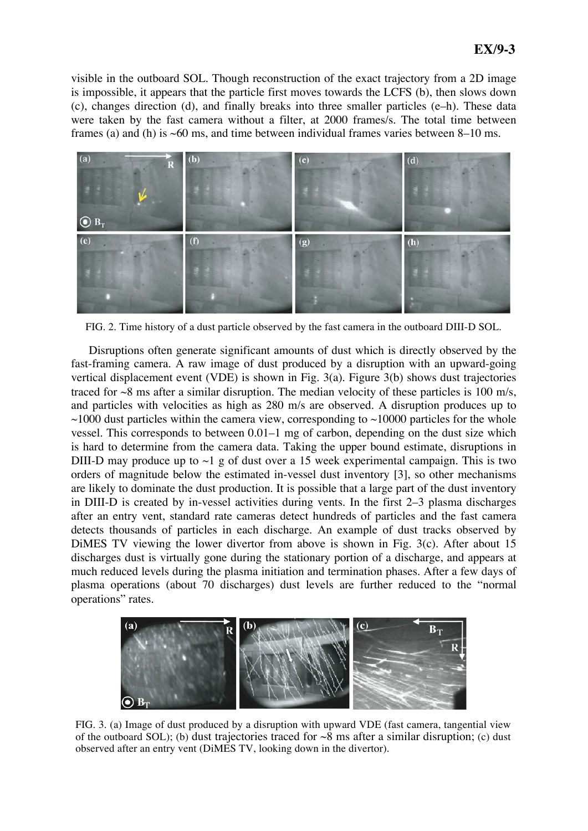visible in the outboard SOL. Though reconstruction of the exact trajectory from a 2D image is impossible, it appears that the particle first moves towards the LCFS (b), then slows down (c), changes direction (d), and finally breaks into three smaller particles (e–h). These data were taken by the fast camera without a filter, at 2000 frames/s. The total time between frames (a) and (h) is  $~60$  ms, and time between individual frames varies between 8–10 ms.



FIG. 2. Time history of a dust particle observed by the fast camera in the outboard DIII-D SOL.

Disruptions often generate significant amounts of dust which is directly observed by the fast-framing camera. A raw image of dust produced by a disruption with an upward-going vertical displacement event (VDE) is shown in Fig. 3(a). Figure 3(b) shows dust trajectories traced for  $\sim$ 8 ms after a similar disruption. The median velocity of these particles is 100 m/s, and particles with velocities as high as 280 m/s are observed. A disruption produces up to  $\sim$ 1000 dust particles within the camera view, corresponding to  $\sim$ 10000 particles for the whole vessel. This corresponds to between 0.01–1 mg of carbon, depending on the dust size which is hard to determine from the camera data. Taking the upper bound estimate, disruptions in DIII-D may produce up to  $\sim$ 1 g of dust over a 15 week experimental campaign. This is two orders of magnitude below the estimated in-vessel dust inventory [3], so other mechanisms are likely to dominate the dust production. It is possible that a large part of the dust inventory in DIII-D is created by in-vessel activities during vents. In the first 2–3 plasma discharges after an entry vent, standard rate cameras detect hundreds of particles and the fast camera detects thousands of particles in each discharge. An example of dust tracks observed by DiMES TV viewing the lower divertor from above is shown in Fig. 3(c). After about 15 discharges dust is virtually gone during the stationary portion of a discharge, and appears at much reduced levels during the plasma initiation and termination phases. After a few days of plasma operations (about 70 discharges) dust levels are further reduced to the "normal operations" rates.



FIG. 3. (a) Image of dust produced by a disruption with upward VDE (fast camera, tangential view of the outboard SOL); (b) dust trajectories traced for  $\sim 8$  ms after a similar disruption; (c) dust observed after an entry vent (DiMES TV, looking down in the divertor).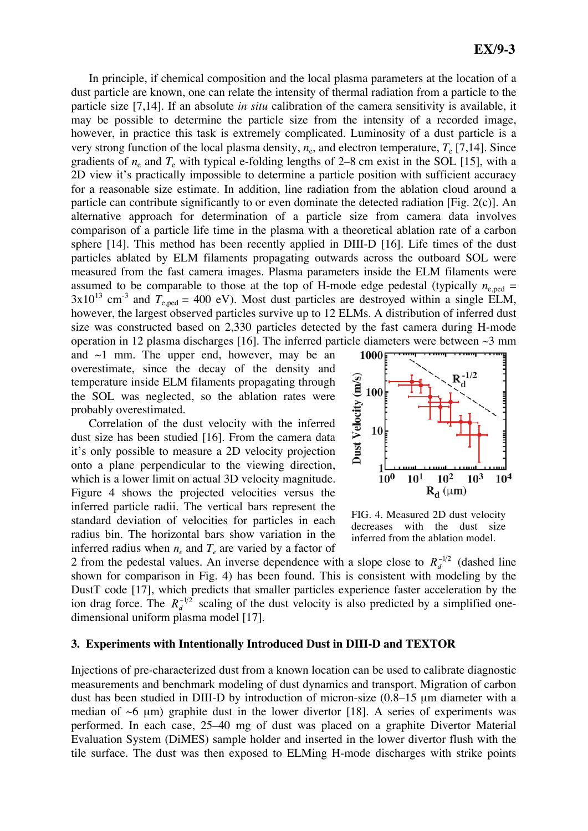In principle, if chemical composition and the local plasma parameters at the location of a dust particle are known, one can relate the intensity of thermal radiation from a particle to the particle size [7,14]. If an absolute *in situ* calibration of the camera sensitivity is available, it may be possible to determine the particle size from the intensity of a recorded image, however, in practice this task is extremely complicated. Luminosity of a dust particle is a very strong function of the local plasma density,  $n_e$ , and electron temperature,  $T_e$  [7,14]. Since gradients of  $n_e$  and  $T_e$  with typical e-folding lengths of 2–8 cm exist in the SOL [15], with a 2D view it's practically impossible to determine a particle position with sufficient accuracy for a reasonable size estimate. In addition, line radiation from the ablation cloud around a particle can contribute significantly to or even dominate the detected radiation [Fig. 2(c)]. An alternative approach for determination of a particle size from camera data involves comparison of a particle life time in the plasma with a theoretical ablation rate of a carbon sphere [14]. This method has been recently applied in DIII-D [16]. Life times of the dust particles ablated by ELM filaments propagating outwards across the outboard SOL were measured from the fast camera images. Plasma parameters inside the ELM filaments were assumed to be comparable to those at the top of H-mode edge pedestal (typically  $n_{e, \text{ned}} =$  $3x10^{13}$  cm<sup>-3</sup> and  $T_{e,ped} = 400$  eV). Most dust particles are destroyed within a single ELM, however, the largest observed particles survive up to 12 ELMs. A distribution of inferred dust size was constructed based on 2,330 particles detected by the fast camera during H-mode operation in 12 plasma discharges [16]. The inferred particle diameters were between  $\sim$ 3 mm

and  $\sim$ 1 mm. The upper end, however, may be an overestimate, since the decay of the density and temperature inside ELM filaments propagating through the SOL was neglected, so the ablation rates were probably overestimated.

Correlation of the dust velocity with the inferred dust size has been studied [16]. From the camera data it's only possible to measure a 2D velocity projection onto a plane perpendicular to the viewing direction, which is a lower limit on actual 3D velocity magnitude. Figure 4 shows the projected velocities versus the inferred particle radii. The vertical bars represent the standard deviation of velocities for particles in each radius bin. The horizontal bars show variation in the inferred radius when  $n_e$  and  $T_e$  are varied by a factor of



FIG. 4. Measured 2D dust velocity decreases with the dust size inferred from the ablation model.

2 from the pedestal values. An inverse dependence with a slope close to  $R_d^{-1/2}$  (dashed line shown for comparison in Fig. 4) has been found. This is consistent with modeling by the DustT code [17], which predicts that smaller particles experience faster acceleration by the ion drag force. The  $R_d^{-1/2}$  scaling of the dust velocity is also predicted by a simplified onedimensional uniform plasma model [17].

### **3. Experiments with Intentionally Introduced Dust in DIII-D and TEXTOR**

Injections of pre-characterized dust from a known location can be used to calibrate diagnostic measurements and benchmark modeling of dust dynamics and transport. Migration of carbon dust has been studied in DIII-D by introduction of micron-size (0.8–15 μm diameter with a median of  $\sim$ 6 μm) graphite dust in the lower divertor [18]. A series of experiments was performed. In each case, 25–40 mg of dust was placed on a graphite Divertor Material Evaluation System (DiMES) sample holder and inserted in the lower divertor flush with the tile surface. The dust was then exposed to ELMing H-mode discharges with strike points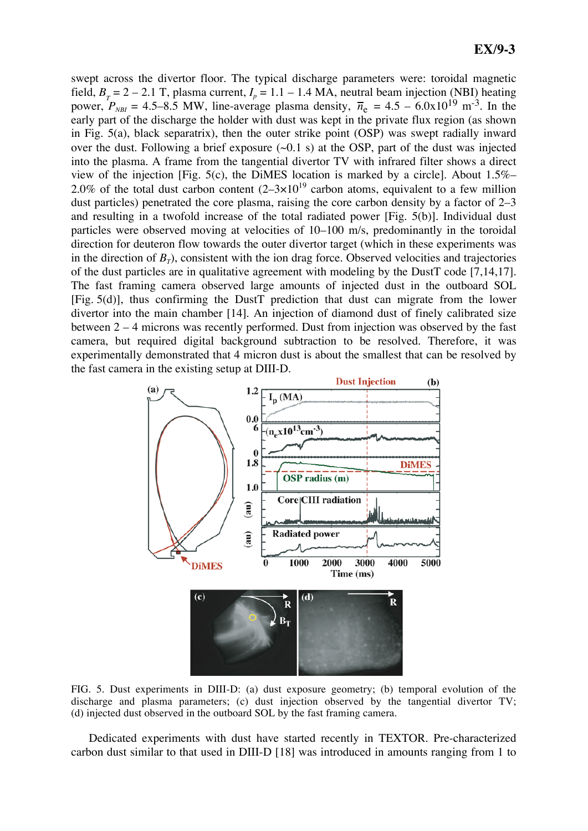swept across the divertor floor. The typical discharge parameters were: toroidal magnetic field,  $B_T = 2 - 2.1$  T, plasma current,  $I_p = 1.1 - 1.4$  MA, neutral beam injection (NBI) heating power,  $P_{NBI}$  = 4.5–8.5 MW, line-average plasma density,  $\bar{n}_e$  = 4.5 – 6.0x10<sup>19</sup> m<sup>-3</sup>. In the early part of the discharge the holder with dust was kept in the private flux region (as shown in Fig. 5(a), black separatrix), then the outer strike point (OSP) was swept radially inward over the dust. Following a brief exposure  $(\sim 0.1 \text{ s})$  at the OSP, part of the dust was injected into the plasma. A frame from the tangential divertor TV with infrared filter shows a direct view of the injection [Fig. 5(c), the DiMES location is marked by a circle]. About 1.5%– 2.0% of the total dust carbon content  $(2-3\times10^{19}$  carbon atoms, equivalent to a few million dust particles) penetrated the core plasma, raising the core carbon density by a factor of 2–3 and resulting in a twofold increase of the total radiated power [Fig. 5(b)]. Individual dust particles were observed moving at velocities of 10–100 m/s, predominantly in the toroidal direction for deuteron flow towards the outer divertor target (which in these experiments was in the direction of  $B_T$ ), consistent with the ion drag force. Observed velocities and trajectories of the dust particles are in qualitative agreement with modeling by the DustT code [7,14,17]. The fast framing camera observed large amounts of injected dust in the outboard SOL [Fig. 5(d)], thus confirming the DustT prediction that dust can migrate from the lower divertor into the main chamber [14]. An injection of diamond dust of finely calibrated size between 2 – 4 microns was recently performed. Dust from injection was observed by the fast camera, but required digital background subtraction to be resolved. Therefore, it was experimentally demonstrated that 4 micron dust is about the smallest that can be resolved by the fast camera in the existing setup at DIII-D.



FIG. 5. Dust experiments in DIII-D: (a) dust exposure geometry; (b) temporal evolution of the discharge and plasma parameters; (c) dust injection observed by the tangential divertor TV; (d) injected dust observed in the outboard SOL by the fast framing camera.

Dedicated experiments with dust have started recently in TEXTOR. Pre-characterized carbon dust similar to that used in DIII-D [18] was introduced in amounts ranging from 1 to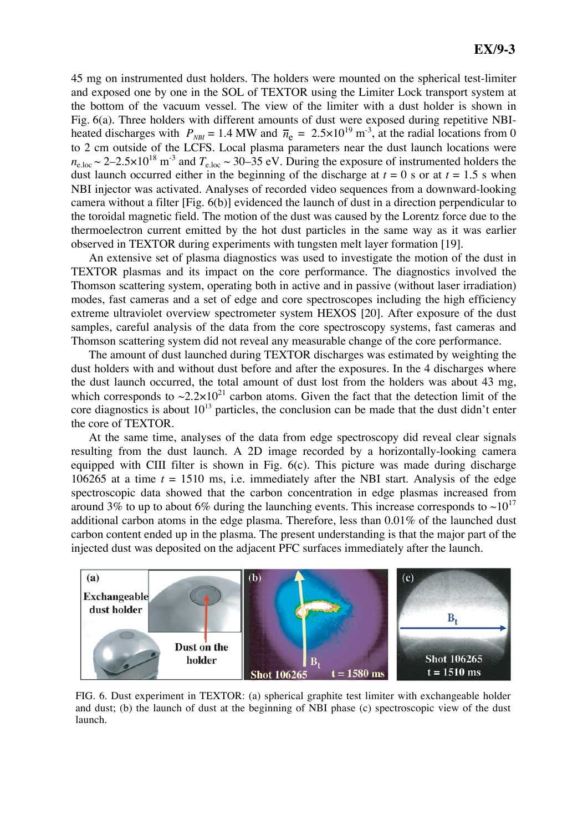45 mg on instrumented dust holders. The holders were mounted on the spherical test-limiter and exposed one by one in the SOL of TEXTOR using the Limiter Lock transport system at the bottom of the vacuum vessel. The view of the limiter with a dust holder is shown in Fig. 6(a). Three holders with different amounts of dust were exposed during repetitive NBIheated discharges with  $P_{NBI} = 1.4$  MW and  $\bar{n}_e = 2.5 \times 10^{19}$  m<sup>-3</sup>, at the radial locations from 0 to 2 cm outside of the LCFS. Local plasma parameters near the dust launch locations were  $n_{\text{e,loc}} \sim 2-2.5\times10^{18} \text{ m}^{-3}$  and  $T_{\text{e,loc}} \sim 30-35 \text{ eV}$ . During the exposure of instrumented holders the dust launch occurred either in the beginning of the discharge at  $t = 0$  s or at  $t = 1.5$  s when NBI injector was activated. Analyses of recorded video sequences from a downward-looking camera without a filter [Fig. 6(b)] evidenced the launch of dust in a direction perpendicular to the toroidal magnetic field. The motion of the dust was caused by the Lorentz force due to the thermoelectron current emitted by the hot dust particles in the same way as it was earlier observed in TEXTOR during experiments with tungsten melt layer formation [19].

An extensive set of plasma diagnostics was used to investigate the motion of the dust in TEXTOR plasmas and its impact on the core performance. The diagnostics involved the Thomson scattering system, operating both in active and in passive (without laser irradiation) modes, fast cameras and a set of edge and core spectroscopes including the high efficiency extreme ultraviolet overview spectrometer system HEXOS [20]. After exposure of the dust samples, careful analysis of the data from the core spectroscopy systems, fast cameras and Thomson scattering system did not reveal any measurable change of the core performance.

The amount of dust launched during TEXTOR discharges was estimated by weighting the dust holders with and without dust before and after the exposures. In the 4 discharges where the dust launch occurred, the total amount of dust lost from the holders was about 43 mg, which corresponds to  $\sim 2.2 \times 10^{21}$  carbon atoms. Given the fact that the detection limit of the core diagnostics is about  $10^{13}$  particles, the conclusion can be made that the dust didn't enter the core of TEXTOR.

At the same time, analyses of the data from edge spectroscopy did reveal clear signals resulting from the dust launch. A 2D image recorded by a horizontally-looking camera equipped with CIII filter is shown in Fig. 6(c). This picture was made during discharge 106265 at a time *t* = 1510 ms, i.e. immediately after the NBI start. Analysis of the edge spectroscopic data showed that the carbon concentration in edge plasmas increased from around 3% to up to about 6% during the launching events. This increase corresponds to  $\sim 10^{17}$ additional carbon atoms in the edge plasma. Therefore, less than 0.01% of the launched dust carbon content ended up in the plasma. The present understanding is that the major part of the injected dust was deposited on the adjacent PFC surfaces immediately after the launch.



FIG. 6. Dust experiment in TEXTOR: (a) spherical graphite test limiter with exchangeable holder and dust; (b) the launch of dust at the beginning of NBI phase (c) spectroscopic view of the dust launch.